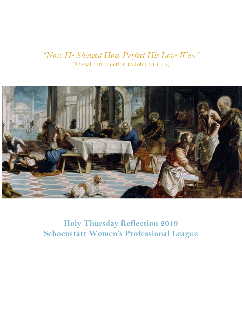## *"Now He Showed How Perfect His Love Was."*  (Missal Introduction to John 13:1-15)



**Holy Thursday Reflection 2019 Schoenstatt Women's Professional League**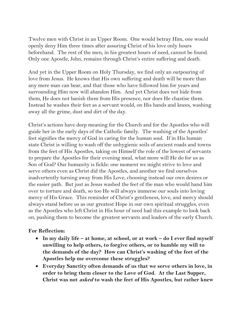Twelve men with Christ in an Upper Room. One would betray Him, one would openly deny Him three times after assuring Christ of his love only hours beforehand. The rest of the men, in his greatest hours of need, cannot be found. Only one Apostle, John, remains through Christ's entire suffering and death.

And yet in the Upper Room on Holy Thursday, we find only an outpouring of love from Jesus. He knows that His own suffering and death will be more than any mere man can bear, and that those who have followed him for years and surrounding Him now will abandon Him. And yet Christ does not hide from them, He does not banish them from His presence, nor does He chastise them. Instead he washes their feet as a servant would, on His hands and knees, washing away all the grime, dust and dirt of the day.

Christ's actions have deep meaning for the Church and for the Apostles who will guide her in the early days of the Catholic family. The washing of the Apostles' feet signifies the mercy of God in caring for the human soul. If in His human state Christ is willing to wash off the unhygienic soils of ancient roads and towns from the feet of His Apostles, taking on Himself the role of the lowest of servants to prepare the Apostles for their evening meal, what more will He do for us as Son of God? Our humanity is fickle: one moment we might strive to love and serve others even as Christ did the Apostles, and another we find ourselves inadvertently turning away from His Love, choosing instead our own desires or the easier path. But just as Jesus washed the feet of the man who would hand him over to torture and death, so too He will always immerse our souls into loving mercy of His Grace. This reminder of Christ's gentleness, love, and mercy should always stand before us as our greatest Hope in our own spiritual struggles, even as the Apostles who left Christ in His hour of need had this example to look back on, pushing them to become the greatest servants and leaders of the early Church.

## **For Reflection:**

- **In my daily life – at home, at school, or at work – do I ever find myself unwilling to help others, to forgive others, or to humble my will to the demands of the day? How can Christ's washing of the feet of the Apostles help me overcome these struggles?**
- **Everyday Sanctity often demands of us that we serve others in love, in order to bring them closer to the Love of God. At the Last Supper, Christ was not asked to wash the feet of His Apostles, but rather knew**